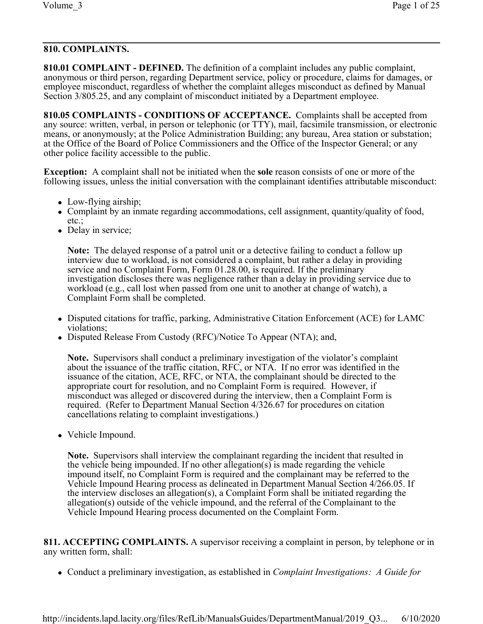# **810. COMPLAINTS.**

**810.01 COMPLAINT - DEFINED.** The definition of a complaint includes any public complaint, anonymous or third person, regarding Department service, policy or procedure, claims for damages, or employee misconduct, regardless of whether the complaint alleges misconduct as defined by Manual Section 3/805.25, and any complaint of misconduct initiated by a Department employee.

**810.05 COMPLAINTS - CONDITIONS OF ACCEPTANCE.** Complaints shall be accepted from any source: written, verbal, in person or telephonic (or TTY), mail, facsimile transmission, or electronic means, or anonymously; at the Police Administration Building; any bureau, Area station or substation; at the Office of the Board of Police Commissioners and the Office of the Inspector General; or any other police facility accessible to the public.

**Exception:** A complaint shall not be initiated when the **sole** reason consists of one or more of the following issues, unless the initial conversation with the complainant identifies attributable misconduct:

- Low-flying airship;
- Complaint by an inmate regarding accommodations, cell assignment, quantity/quality of food, etc.;
- Delay in service;

**Note:** The delayed response of a patrol unit or a detective failing to conduct a follow up interview due to workload, is not considered a complaint, but rather a delay in providing service and no Complaint Form, Form 01.28.00, is required. If the preliminary investigation discloses there was negligence rather than a delay in providing service due to workload (e.g., call lost when passed from one unit to another at change of watch), a Complaint Form shall be completed.

- Disputed citations for traffic, parking, Administrative Citation Enforcement (ACE) for LAMC violations;
- Disputed Release From Custody (RFC)/Notice To Appear (NTA); and,

**Note.** Supervisors shall conduct a preliminary investigation of the violator's complaint about the issuance of the traffic citation, RFC, or NTA. If no error was identified in the issuance of the citation, ACE, RFC, or NTA, the complainant should be directed to the appropriate court for resolution, and no Complaint Form is required. However, if misconduct was alleged or discovered during the interview, then a Complaint Form is required. (Refer to Department Manual Section 4/326.67 for procedures on citation cancellations relating to complaint investigations.)

• Vehicle Impound.

**Note.** Supervisors shall interview the complainant regarding the incident that resulted in the vehicle being impounded. If no other allegation(s) is made regarding the vehicle impound itself, no Complaint Form is required and the complainant may be referred to the Vehicle Impound Hearing process as delineated in Department Manual Section 4/266.05. If the interview discloses an allegation(s), a Complaint Form shall be initiated regarding the allegation(s) outside of the vehicle impound, and the referral of the Complainant to the Vehicle Impound Hearing process documented on the Complaint Form.

**811. ACCEPTING COMPLAINTS.** A supervisor receiving a complaint in person, by telephone or in any written form, shall:

<sup>l</sup> Conduct a preliminary investigation, as established in *Complaint Investigations: A Guide for*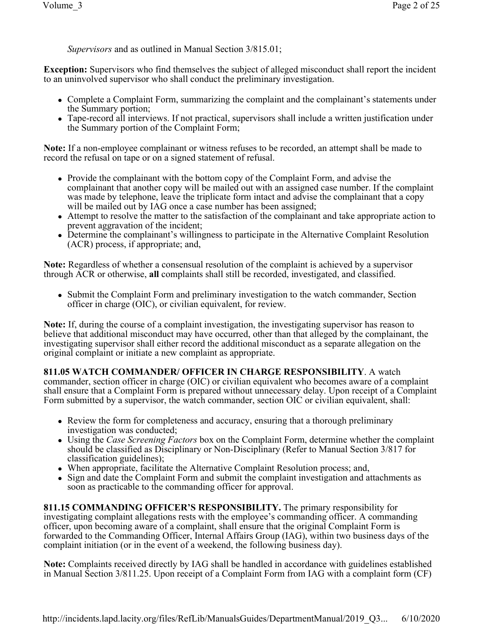*Supervisors* and as outlined in Manual Section 3/815.01;

**Exception:** Supervisors who find themselves the subject of alleged misconduct shall report the incident to an uninvolved supervisor who shall conduct the preliminary investigation.

- Complete a Complaint Form, summarizing the complaint and the complainant's statements under the Summary portion;
- Tape-record all interviews. If not practical, supervisors shall include a written justification under the Summary portion of the Complaint Form;

**Note:** If a non-employee complainant or witness refuses to be recorded, an attempt shall be made to record the refusal on tape or on a signed statement of refusal.

- Provide the complainant with the bottom copy of the Complaint Form, and advise the complainant that another copy will be mailed out with an assigned case number. If the complaint was made by telephone, leave the triplicate form intact and advise the complainant that a copy will be mailed out by IAG once a case number has been assigned;
- Attempt to resolve the matter to the satisfaction of the complainant and take appropriate action to prevent aggravation of the incident;
- Determine the complainant's willingness to participate in the Alternative Complaint Resolution (ACR) process, if appropriate; and,

**Note:** Regardless of whether a consensual resolution of the complaint is achieved by a supervisor through ACR or otherwise, **all** complaints shall still be recorded, investigated, and classified.

• Submit the Complaint Form and preliminary investigation to the watch commander, Section officer in charge (OIC), or civilian equivalent, for review.

**Note:** If, during the course of a complaint investigation, the investigating supervisor has reason to believe that additional misconduct may have occurred, other than that alleged by the complainant, the investigating supervisor shall either record the additional misconduct as a separate allegation on the original complaint or initiate a new complaint as appropriate.

# **811.05 WATCH COMMANDER/ OFFICER IN CHARGE RESPONSIBILITY**. A watch

commander, section officer in charge (OIC) or civilian equivalent who becomes aware of a complaint shall ensure that a Complaint Form is prepared without unnecessary delay. Upon receipt of a Complaint Form submitted by a supervisor, the watch commander, section OIC or civilian equivalent, shall:

- Review the form for completeness and accuracy, ensuring that a thorough preliminary investigation was conducted;
- Using the *Case Screening Factors* box on the Complaint Form, determine whether the complaint should be classified as Disciplinary or Non-Disciplinary (Refer to Manual Section 3/817 for classification guidelines);
- When appropriate, facilitate the Alternative Complaint Resolution process; and,
- Sign and date the Complaint Form and submit the complaint investigation and attachments as soon as practicable to the commanding officer for approval.

**811.15 COMMANDING OFFICER'S RESPONSIBILITY.** The primary responsibility for investigating complaint allegations rests with the employee's commanding officer. A commanding officer, upon becoming aware of a complaint, shall ensure that the original Complaint Form is forwarded to the Commanding Officer, Internal Affairs Group (IAG), within two business days of the complaint initiation (or in the event of a weekend, the following business day).

**Note:** Complaints received directly by IAG shall be handled in accordance with guidelines established in Manual Section 3/811.25. Upon receipt of a Complaint Form from IAG with a complaint form (CF)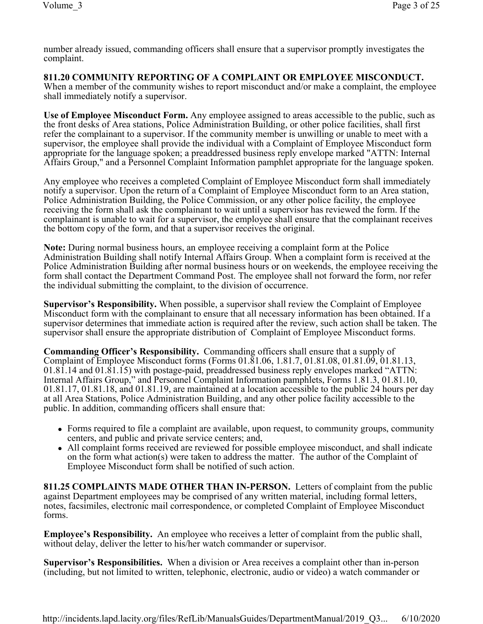number already issued, commanding officers shall ensure that a supervisor promptly investigates the complaint.

**811.20 COMMUNITY REPORTING OF A COMPLAINT OR EMPLOYEE MISCONDUCT.**  When a member of the community wishes to report misconduct and/or make a complaint, the employee shall immediately notify a supervisor.

**Use of Employee Misconduct Form.** Any employee assigned to areas accessible to the public, such as the front desks of Area stations, Police Administration Building, or other police facilities, shall first refer the complainant to a supervisor. If the community member is unwilling or unable to meet with a supervisor, the employee shall provide the individual with a Complaint of Employee Misconduct form appropriate for the language spoken; a preaddressed business reply envelope marked "ATTN: Internal Affairs Group," and a Personnel Complaint Information pamphlet appropriate for the language spoken.

Any employee who receives a completed Complaint of Employee Misconduct form shall immediately notify a supervisor. Upon the return of a Complaint of Employee Misconduct form to an Area station, Police Administration Building, the Police Commission, or any other police facility, the employee receiving the form shall ask the complainant to wait until a supervisor has reviewed the form. If the complainant is unable to wait for a supervisor, the employee shall ensure that the complainant receives the bottom copy of the form, and that a supervisor receives the original.

**Note:** During normal business hours, an employee receiving a complaint form at the Police Administration Building shall notify Internal Affairs Group. When a complaint form is received at the Police Administration Building after normal business hours or on weekends, the employee receiving the form shall contact the Department Command Post. The employee shall not forward the form, nor refer the individual submitting the complaint, to the division of occurrence.

**Supervisor's Responsibility.** When possible, a supervisor shall review the Complaint of Employee Misconduct form with the complainant to ensure that all necessary information has been obtained. If a supervisor determines that immediate action is required after the review, such action shall be taken. The supervisor shall ensure the appropriate distribution of Complaint of Employee Misconduct forms.

**Commanding Officer's Responsibility.** Commanding officers shall ensure that a supply of Complaint of Employee Misconduct forms (Forms 01.81.06, 1.81.7, 01.81.08, 01.81.09, 01.81.13, 01.81.14 and 01.81.15) with postage-paid, preaddressed business reply envelopes marked "ATTN: Internal Affairs Group," and Personnel Complaint Information pamphlets, Forms 1.81.3, 01.81.10, 01.81.17, 01.81.18, and 01.81.19, are maintained at a location accessible to the public 24 hours per day at all Area Stations, Police Administration Building, and any other police facility accessible to the public. In addition, commanding officers shall ensure that:

- Forms required to file a complaint are available, upon request, to community groups, community centers, and public and private service centers; and,
- All complaint forms received are reviewed for possible employee misconduct, and shall indicate on the form what action(s) were taken to address the matter. The author of the Complaint of Employee Misconduct form shall be notified of such action.

**811.25 COMPLAINTS MADE OTHER THAN IN-PERSON.** Letters of complaint from the public against Department employees may be comprised of any written material, including formal letters, notes, facsimiles, electronic mail correspondence, or completed Complaint of Employee Misconduct forms.

**Employee's Responsibility.** An employee who receives a letter of complaint from the public shall, without delay, deliver the letter to his/her watch commander or supervisor.

**Supervisor's Responsibilities.** When a division or Area receives a complaint other than in-person (including, but not limited to written, telephonic, electronic, audio or video) a watch commander or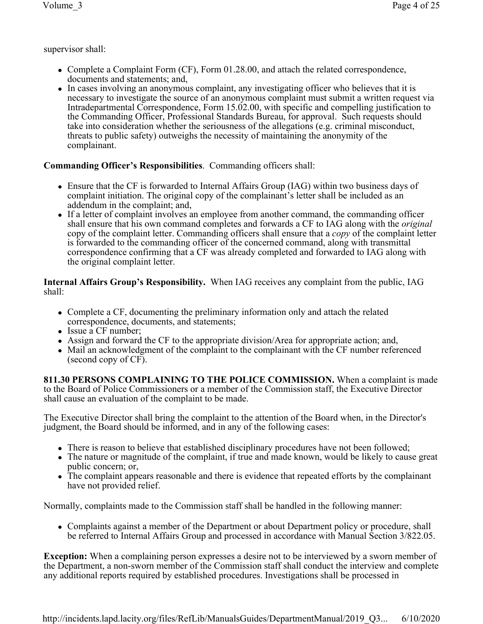supervisor shall:

- Complete a Complaint Form  $(CF)$ , Form 01.28.00, and attach the related correspondence, documents and statements; and,
- In cases involving an anonymous complaint, any investigating officer who believes that it is necessary to investigate the source of an anonymous complaint must submit a written request via Intradepartmental Correspondence, Form 15.02.00, with specific and compelling justification to the Commanding Officer, Professional Standards Bureau, for approval. Such requests should take into consideration whether the seriousness of the allegations (e.g. criminal misconduct, threats to public safety) outweighs the necessity of maintaining the anonymity of the complainant.

# **Commanding Officer's Responsibilities**. Commanding officers shall:

- Ensure that the CF is forwarded to Internal Affairs Group (IAG) within two business days of complaint initiation. The original copy of the complainant's letter shall be included as an addendum in the complaint; and,
- If a letter of complaint involves an employee from another command, the commanding officer shall ensure that his own command completes and forwards a CF to IAG along with the *original* copy of the complaint letter. Commanding officers shall ensure that a *copy* of the complaint letter is forwarded to the commanding officer of the concerned command, along with transmittal correspondence confirming that a CF was already completed and forwarded to IAG along with the original complaint letter.

**Internal Affairs Group's Responsibility.** When IAG receives any complaint from the public, IAG shall:

- Complete a CF, documenting the preliminary information only and attach the related correspondence, documents, and statements;
- Issue a CF number;
- Assign and forward the CF to the appropriate division/Area for appropriate action; and,
- Mail an acknowledgment of the complaint to the complainant with the CF number referenced (second copy of CF).

**811.30 PERSONS COMPLAINING TO THE POLICE COMMISSION.** When a complaint is made to the Board of Police Commissioners or a member of the Commission staff, the Executive Director shall cause an evaluation of the complaint to be made.

The Executive Director shall bring the complaint to the attention of the Board when, in the Director's judgment, the Board should be informed, and in any of the following cases:

- There is reason to believe that established disciplinary procedures have not been followed;
- The nature or magnitude of the complaint, if true and made known, would be likely to cause great public concern; or,
- The complaint appears reasonable and there is evidence that repeated efforts by the complainant have not provided relief.

Normally, complaints made to the Commission staff shall be handled in the following manner:

• Complaints against a member of the Department or about Department policy or procedure, shall be referred to Internal Affairs Group and processed in accordance with Manual Section 3/822.05.

**Exception:** When a complaining person expresses a desire not to be interviewed by a sworn member of the Department, a non-sworn member of the Commission staff shall conduct the interview and complete any additional reports required by established procedures. Investigations shall be processed in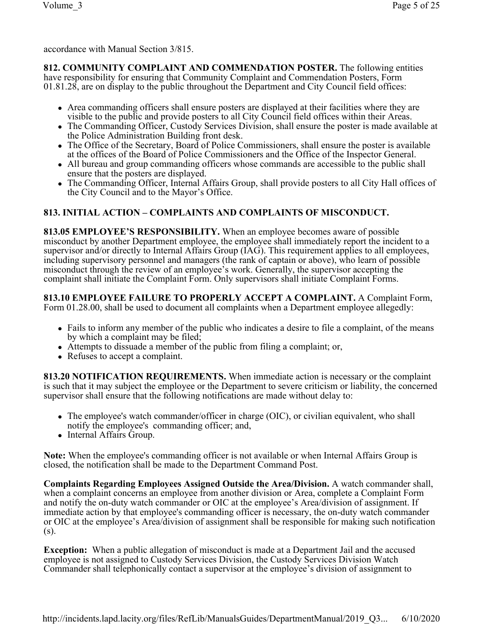accordance with Manual Section 3/815.

**812. COMMUNITY COMPLAINT AND COMMENDATION POSTER.** The following entities have responsibility for ensuring that Community Complaint and Commendation Posters, Form 01.81.28, are on display to the public throughout the Department and City Council field offices:

- Area commanding officers shall ensure posters are displayed at their facilities where they are visible to the public and provide posters to all City Council field offices within their Areas.
- The Commanding Officer, Custody Services Division, shall ensure the poster is made available at the Police Administration Building front desk.
- The Office of the Secretary, Board of Police Commissioners, shall ensure the poster is available at the offices of the Board of Police Commissioners and the Office of the Inspector General.
- All bureau and group commanding officers whose commands are accessible to the public shall ensure that the posters are displayed.
- The Commanding Officer, Internal Affairs Group, shall provide posters to all City Hall offices of the City Council and to the Mayor's Office.

# **813. INITIAL ACTION – COMPLAINTS AND COMPLAINTS OF MISCONDUCT.**

**813.05 EMPLOYEE'S RESPONSIBILITY.** When an employee becomes aware of possible misconduct by another Department employee, the employee shall immediately report the incident to a supervisor and/or directly to Internal Affairs Group (IAG). This requirement applies to all employees, including supervisory personnel and managers (the rank of captain or above), who learn of possible misconduct through the review of an employee's work. Generally, the supervisor accepting the complaint shall initiate the Complaint Form. Only supervisors shall initiate Complaint Forms.

**813.10 EMPLOYEE FAILURE TO PROPERLY ACCEPT A COMPLAINT.** A Complaint Form, Form 01.28.00, shall be used to document all complaints when a Department employee allegedly:

- Fails to inform any member of the public who indicates a desire to file a complaint, of the means by which a complaint may be filed;
- Attempts to dissuade a member of the public from filing a complaint; or,
- Refuses to accept a complaint.

**813.20 NOTIFICATION REQUIREMENTS.** When immediate action is necessary or the complaint is such that it may subject the employee or the Department to severe criticism or liability, the concerned supervisor shall ensure that the following notifications are made without delay to:

- The employee's watch commander/officer in charge (OIC), or civilian equivalent, who shall notify the employee's commanding officer; and,
- Internal Affairs Group.

**Note:** When the employee's commanding officer is not available or when Internal Affairs Group is closed, the notification shall be made to the Department Command Post.

**Complaints Regarding Employees Assigned Outside the Area/Division.** A watch commander shall, when a complaint concerns an employee from another division or Area, complete a Complaint Form and notify the on-duty watch commander or OIC at the employee's Area/division of assignment. If immediate action by that employee's commanding officer is necessary, the on-duty watch commander or OIC at the employee's Area/division of assignment shall be responsible for making such notification (s).

**Exception:** When a public allegation of misconduct is made at a Department Jail and the accused employee is not assigned to Custody Services Division, the Custody Services Division Watch Commander shall telephonically contact a supervisor at the employee's division of assignment to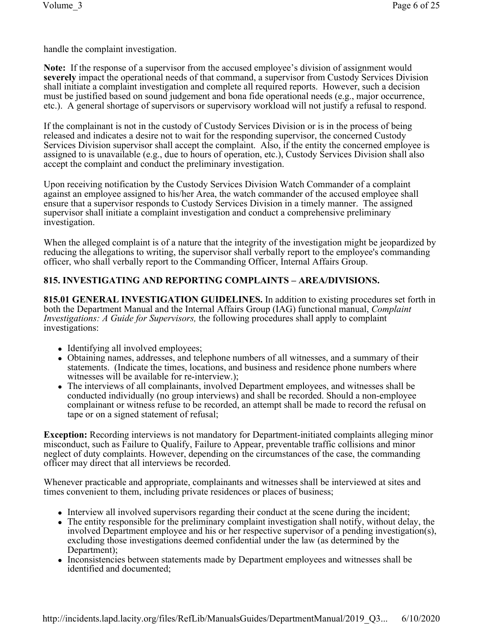handle the complaint investigation.

**Note:** If the response of a supervisor from the accused employee's division of assignment would **severely** impact the operational needs of that command, a supervisor from Custody Services Division shall initiate a complaint investigation and complete all required reports. However, such a decision must be justified based on sound judgement and bona fide operational needs (e.g., major occurrence, etc.). A general shortage of supervisors or supervisory workload will not justify a refusal to respond.

If the complainant is not in the custody of Custody Services Division or is in the process of being released and indicates a desire not to wait for the responding supervisor, the concerned Custody Services Division supervisor shall accept the complaint. Also, if the entity the concerned employee is assigned to is unavailable (e.g., due to hours of operation, etc.), Custody Services Division shall also accept the complaint and conduct the preliminary investigation.

Upon receiving notification by the Custody Services Division Watch Commander of a complaint against an employee assigned to his/her Area, the watch commander of the accused employee shall ensure that a supervisor responds to Custody Services Division in a timely manner. The assigned supervisor shall initiate a complaint investigation and conduct a comprehensive preliminary investigation.

When the alleged complaint is of a nature that the integrity of the investigation might be jeopardized by reducing the allegations to writing, the supervisor shall verbally report to the employee's commanding officer, who shall verbally report to the Commanding Officer, Internal Affairs Group.

# **815. INVESTIGATING AND REPORTING COMPLAINTS – AREA/DIVISIONS.**

**815.01 GENERAL INVESTIGATION GUIDELINES.** In addition to existing procedures set forth in both the Department Manual and the Internal Affairs Group (IAG) functional manual, *Complaint Investigations: A Guide for Supervisors,* the following procedures shall apply to complaint investigations:

- Identifying all involved employees;
- Obtaining names, addresses, and telephone numbers of all witnesses, and a summary of their statements. (Indicate the times, locations, and business and residence phone numbers where witnesses will be available for re-interview.);
- The interviews of all complainants, involved Department employees, and witnesses shall be conducted individually (no group interviews) and shall be recorded. Should a non-employee complainant or witness refuse to be recorded, an attempt shall be made to record the refusal on tape or on a signed statement of refusal;

**Exception:** Recording interviews is not mandatory for Department-initiated complaints alleging minor misconduct, such as Failure to Qualify, Failure to Appear, preventable traffic collisions and minor neglect of duty complaints. However, depending on the circumstances of the case, the commanding officer may direct that all interviews be recorded.

Whenever practicable and appropriate, complainants and witnesses shall be interviewed at sites and times convenient to them, including private residences or places of business;

- Interview all involved supervisors regarding their conduct at the scene during the incident;
- The entity responsible for the preliminary complaint investigation shall notify, without delay, the involved Department employee and his or her respective supervisor of a pending investigation(s), excluding those investigations deemed confidential under the law (as determined by the Department);
- Inconsistencies between statements made by Department employees and witnesses shall be identified and documented;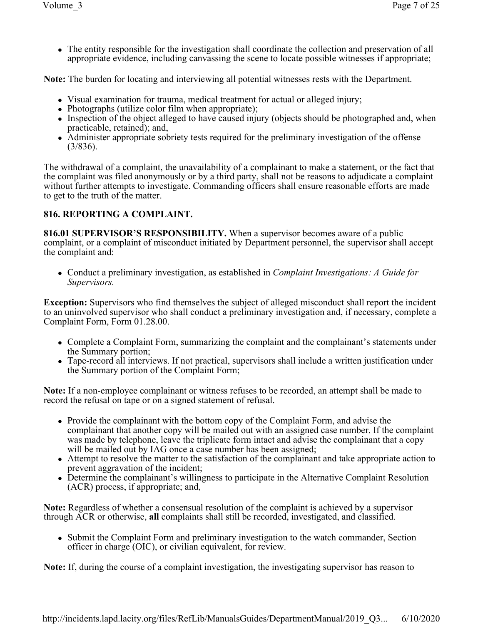• The entity responsible for the investigation shall coordinate the collection and preservation of all appropriate evidence, including canvassing the scene to locate possible witnesses if appropriate;

**Note:** The burden for locating and interviewing all potential witnesses rests with the Department.

- Visual examination for trauma, medical treatment for actual or alleged injury;
- $\bullet$  Photographs (utilize color film when appropriate);
- Inspection of the object alleged to have caused injury (objects should be photographed and, when practicable, retained); and,
- Administer appropriate sobriety tests required for the preliminary investigation of the offense (3/836).

The withdrawal of a complaint, the unavailability of a complainant to make a statement, or the fact that the complaint was filed anonymously or by a third party, shall not be reasons to adjudicate a complaint without further attempts to investigate. Commanding officers shall ensure reasonable efforts are made to get to the truth of the matter.

# **816. REPORTING A COMPLAINT.**

**816.01 SUPERVISOR'S RESPONSIBILITY.** When a supervisor becomes aware of a public complaint, or a complaint of misconduct initiated by Department personnel, the supervisor shall accept the complaint and:

• Conduct a preliminary investigation, as established in *Complaint Investigations: A Guide for Supervisors.* 

**Exception:** Supervisors who find themselves the subject of alleged misconduct shall report the incident to an uninvolved supervisor who shall conduct a preliminary investigation and, if necessary, complete a Complaint Form, Form 01.28.00.

- Complete a Complaint Form, summarizing the complaint and the complainant's statements under the Summary portion;
- Tape-record all interviews. If not practical, supervisors shall include a written justification under the Summary portion of the Complaint Form;

**Note:** If a non-employee complainant or witness refuses to be recorded, an attempt shall be made to record the refusal on tape or on a signed statement of refusal.

- Provide the complainant with the bottom copy of the Complaint Form, and advise the complainant that another copy will be mailed out with an assigned case number. If the complaint was made by telephone, leave the triplicate form intact and advise the complainant that a copy will be mailed out by IAG once a case number has been assigned;
- Attempt to resolve the matter to the satisfaction of the complainant and take appropriate action to prevent aggravation of the incident;
- Determine the complainant's willingness to participate in the Alternative Complaint Resolution (ACR) process, if appropriate; and,

**Note:** Regardless of whether a consensual resolution of the complaint is achieved by a supervisor through ACR or otherwise, **all** complaints shall still be recorded, investigated, and classified.

• Submit the Complaint Form and preliminary investigation to the watch commander, Section officer in charge (OIC), or civilian equivalent, for review.

**Note:** If, during the course of a complaint investigation, the investigating supervisor has reason to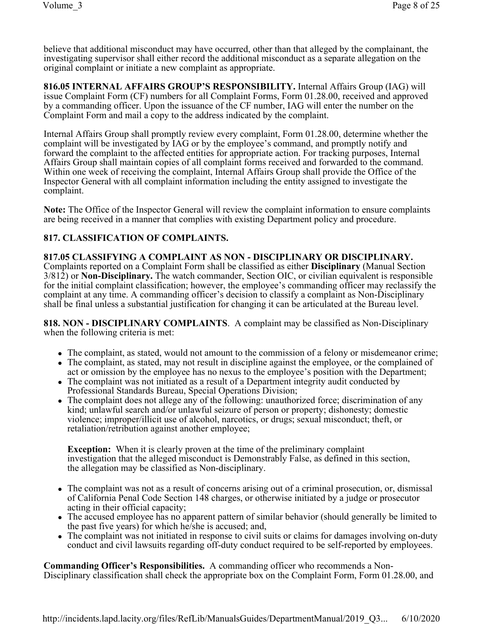believe that additional misconduct may have occurred, other than that alleged by the complainant, the investigating supervisor shall either record the additional misconduct as a separate allegation on the original complaint or initiate a new complaint as appropriate.

**816.05 INTERNAL AFFAIRS GROUP'S RESPONSIBILITY.** Internal Affairs Group (IAG) will issue Complaint Form (CF) numbers for all Complaint Forms, Form 01.28.00, received and approved by a commanding officer. Upon the issuance of the CF number, IAG will enter the number on the Complaint Form and mail a copy to the address indicated by the complaint.

Internal Affairs Group shall promptly review every complaint, Form 01.28.00, determine whether the complaint will be investigated by IAG or by the employee's command, and promptly notify and forward the complaint to the affected entities for appropriate action. For tracking purposes, Internal Affairs Group shall maintain copies of all complaint forms received and forwarded to the command. Within one week of receiving the complaint, Internal Affairs Group shall provide the Office of the Inspector General with all complaint information including the entity assigned to investigate the complaint.

**Note:** The Office of the Inspector General will review the complaint information to ensure complaints are being received in a manner that complies with existing Department policy and procedure.

# **817. CLASSIFICATION OF COMPLAINTS.**

### **817.05 CLASSIFYING A COMPLAINT AS NON - DISCIPLINARY OR DISCIPLINARY.**

Complaints reported on a Complaint Form shall be classified as either **Disciplinary** (Manual Section 3/812) or **Non-Disciplinary.** The watch commander, Section OIC, or civilian equivalent is responsible for the initial complaint classification; however, the employee's commanding officer may reclassify the complaint at any time. A commanding officer's decision to classify a complaint as Non-Disciplinary shall be final unless a substantial justification for changing it can be articulated at the Bureau level.

**818. NON - DISCIPLINARY COMPLAINTS**. A complaint may be classified as Non-Disciplinary when the following criteria is met:

- The complaint, as stated, would not amount to the commission of a felony or misdemeanor crime;
- The complaint, as stated, may not result in discipline against the employee, or the complained of act or omission by the employee has no nexus to the employee's position with the Department;
- The complaint was not initiated as a result of a Department integrity audit conducted by Professional Standards Bureau, Special Operations Division;
- The complaint does not allege any of the following: unauthorized force; discrimination of any kind; unlawful search and/or unlawful seizure of person or property; dishonesty; domestic violence; improper/illicit use of alcohol, narcotics, or drugs; sexual misconduct; theft, or retaliation/retribution against another employee;

**Exception:** When it is clearly proven at the time of the preliminary complaint investigation that the alleged misconduct is Demonstrably False, as defined in this section, the allegation may be classified as Non-disciplinary.

- The complaint was not as a result of concerns arising out of a criminal prosecution, or, dismissal of California Penal Code Section 148 charges, or otherwise initiated by a judge or prosecutor acting in their official capacity;
- The accused employee has no apparent pattern of similar behavior (should generally be limited to the past five years) for which he/she is accused; and,
- The complaint was not initiated in response to civil suits or claims for damages involving on-duty conduct and civil lawsuits regarding off-duty conduct required to be self-reported by employees.

**Commanding Officer's Responsibilities.** A commanding officer who recommends a Non-Disciplinary classification shall check the appropriate box on the Complaint Form, Form 01.28.00, and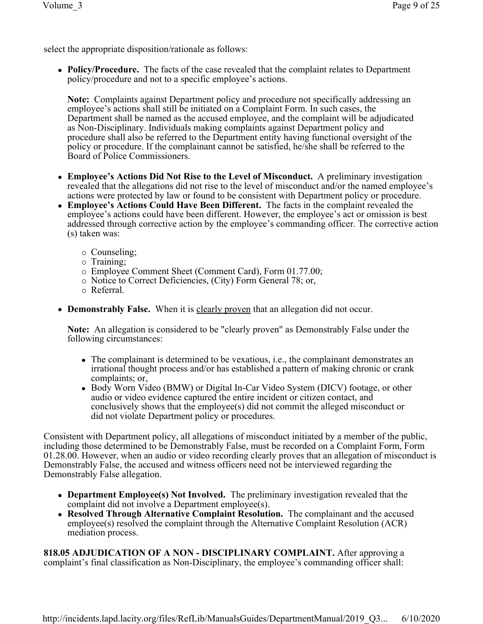select the appropriate disposition/rationale as follows:

• Policy/Procedure. The facts of the case revealed that the complaint relates to Department policy/procedure and not to a specific employee's actions.

**Note:** Complaints against Department policy and procedure not specifically addressing an employee's actions shall still be initiated on a Complaint Form. In such cases, the Department shall be named as the accused employee, and the complaint will be adjudicated as Non-Disciplinary. Individuals making complaints against Department policy and procedure shall also be referred to the Department entity having functional oversight of the policy or procedure. If the complainant cannot be satisfied, he/she shall be referred to the Board of Police Commissioners.

- <sup>l</sup> **Employee's Actions Did Not Rise to the Level of Misconduct.** A preliminary investigation revealed that the allegations did not rise to the level of misconduct and/or the named employee's actions were protected by law or found to be consistent with Department policy or procedure.
- **Employee's Actions Could Have Been Different.** The facts in the complaint revealed the employee's actions could have been different. However, the employee's act or omission is best addressed through corrective action by the employee's commanding officer. The corrective action (s) taken was:
	- $\circ$  Counseling;
	- $\circ$  Training;
	- ¡ Employee Comment Sheet (Comment Card), Form 01.77.00;
	- ¡ Notice to Correct Deficiencies, (City) Form General 78; or,
	- $\circ$  Referral.
- **Demonstrably False.** When it is clearly proven that an allegation did not occur.

**Note:** An allegation is considered to be "clearly proven" as Demonstrably False under the following circumstances:

- The complainant is determined to be vexatious, i.e., the complainant demonstrates an irrational thought process and/or has established a pattern of making chronic or crank complaints; or,
- Body Worn Video (BMW) or Digital In-Car Video System (DICV) footage, or other audio or video evidence captured the entire incident or citizen contact, and conclusively shows that the employee(s) did not commit the alleged misconduct or did not violate Department policy or procedures.

Consistent with Department policy, all allegations of misconduct initiated by a member of the public, including those determined to be Demonstrably False, must be recorded on a Complaint Form, Form 01.28.00. However, when an audio or video recording clearly proves that an allegation of misconduct is Demonstrably False, the accused and witness officers need not be interviewed regarding the Demonstrably False allegation.

- **Department Employee(s) Not Involved.** The preliminary investigation revealed that the complaint did not involve a Department employee(s).
- **Resolved Through Alternative Complaint Resolution.** The complainant and the accused employee(s) resolved the complaint through the Alternative Complaint Resolution (ACR) mediation process.

**818.05 ADJUDICATION OF A NON - DISCIPLINARY COMPLAINT.** After approving a complaint's final classification as Non-Disciplinary, the employee's commanding officer shall: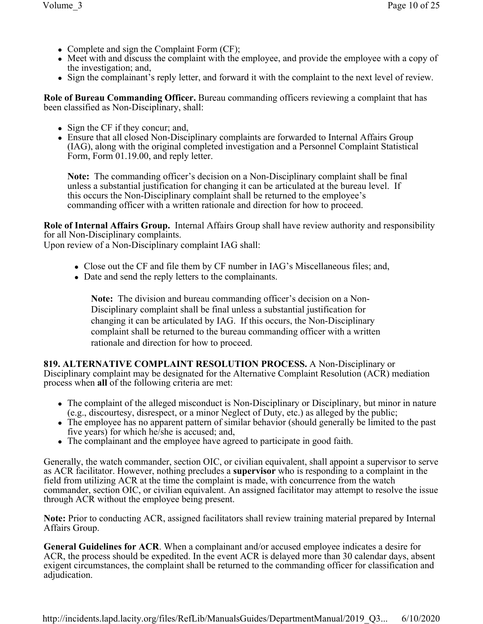- Complete and sign the Complaint Form  $(CF)$ ;
- Meet with and discuss the complaint with the employee, and provide the employee with a copy of the investigation; and,
- Sign the complainant's reply letter, and forward it with the complaint to the next level of review.

**Role of Bureau Commanding Officer.** Bureau commanding officers reviewing a complaint that has been classified as Non-Disciplinary, shall:

- $\bullet$  Sign the CF if they concur; and,
- Ensure that all closed Non-Disciplinary complaints are forwarded to Internal Affairs Group (IAG), along with the original completed investigation and a Personnel Complaint Statistical Form, Form 01.19.00, and reply letter.

**Note:** The commanding officer's decision on a Non-Disciplinary complaint shall be final unless a substantial justification for changing it can be articulated at the bureau level. If this occurs the Non-Disciplinary complaint shall be returned to the employee's commanding officer with a written rationale and direction for how to proceed.

**Role of Internal Affairs Group.** Internal Affairs Group shall have review authority and responsibility for all Non-Disciplinary complaints.

Upon review of a Non-Disciplinary complaint IAG shall:

- Close out the CF and file them by CF number in IAG's Miscellaneous files; and,
- Date and send the reply letters to the complainants.

**Note:** The division and bureau commanding officer's decision on a Non-Disciplinary complaint shall be final unless a substantial justification for changing it can be articulated by IAG. If this occurs, the Non-Disciplinary complaint shall be returned to the bureau commanding officer with a written rationale and direction for how to proceed.

**819. ALTERNATIVE COMPLAINT RESOLUTION PROCESS.** A Non-Disciplinary or Disciplinary complaint may be designated for the Alternative Complaint Resolution (ACR) mediation process when **all** of the following criteria are met:

- The complaint of the alleged misconduct is Non-Disciplinary or Disciplinary, but minor in nature (e.g., discourtesy, disrespect, or a minor Neglect of Duty, etc.) as alleged by the public;
- The employee has no apparent pattern of similar behavior (should generally be limited to the past five years) for which he/she is accused; and,
- The complainant and the employee have agreed to participate in good faith.

Generally, the watch commander, section OIC, or civilian equivalent, shall appoint a supervisor to serve as ACR facilitator. However, nothing precludes a **supervisor** who is responding to a complaint in the field from utilizing ACR at the time the complaint is made, with concurrence from the watch commander, section OIC, or civilian equivalent. An assigned facilitator may attempt to resolve the issue through ACR without the employee being present.

**Note:** Prior to conducting ACR, assigned facilitators shall review training material prepared by Internal Affairs Group.

**General Guidelines for ACR**. When a complainant and/or accused employee indicates a desire for ACR, the process should be expedited. In the event ACR is delayed more than 30 calendar days, absent exigent circumstances, the complaint shall be returned to the commanding officer for classification and adjudication.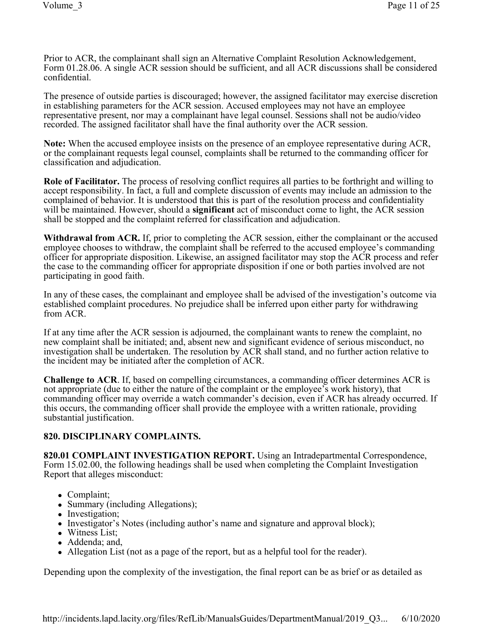Prior to ACR, the complainant shall sign an Alternative Complaint Resolution Acknowledgement, Form 01.28.06. A single ACR session should be sufficient, and all ACR discussions shall be considered confidential.

The presence of outside parties is discouraged; however, the assigned facilitator may exercise discretion in establishing parameters for the ACR session. Accused employees may not have an employee representative present, nor may a complainant have legal counsel. Sessions shall not be audio/video recorded. The assigned facilitator shall have the final authority over the ACR session.

**Note:** When the accused employee insists on the presence of an employee representative during ACR, or the complainant requests legal counsel, complaints shall be returned to the commanding officer for classification and adjudication.

**Role of Facilitator.** The process of resolving conflict requires all parties to be forthright and willing to accept responsibility. In fact, a full and complete discussion of events may include an admission to the complained of behavior. It is understood that this is part of the resolution process and confidentiality will be maintained. However, should a **significant** act of misconduct come to light, the ACR session shall be stopped and the complaint referred for classification and adjudication.

**Withdrawal from ACR.** If, prior to completing the ACR session, either the complainant or the accused employee chooses to withdraw, the complaint shall be referred to the accused employee's commanding officer for appropriate disposition. Likewise, an assigned facilitator may stop the ACR process and refer the case to the commanding officer for appropriate disposition if one or both parties involved are not participating in good faith.

In any of these cases, the complainant and employee shall be advised of the investigation's outcome via established complaint procedures. No prejudice shall be inferred upon either party for withdrawing from ACR.

If at any time after the ACR session is adjourned, the complainant wants to renew the complaint, no new complaint shall be initiated; and, absent new and significant evidence of serious misconduct, no investigation shall be undertaken. The resolution by ACR shall stand, and no further action relative to the incident may be initiated after the completion of ACR.

**Challenge to ACR**. If, based on compelling circumstances, a commanding officer determines ACR is not appropriate (due to either the nature of the complaint or the employee's work history), that commanding officer may override a watch commander's decision, even if ACR has already occurred. If this occurs, the commanding officer shall provide the employee with a written rationale, providing substantial justification.

# **820. DISCIPLINARY COMPLAINTS.**

**820.01 COMPLAINT INVESTIGATION REPORT.** Using an Intradepartmental Correspondence, Form 15.02.00, the following headings shall be used when completing the Complaint Investigation Report that alleges misconduct:

- Complaint;
- Summary (including Allegations);
- Investigation;
- Investigator's Notes (including author's name and signature and approval block);
- Witness List;
- Addenda; and,
- Allegation List (not as a page of the report, but as a helpful tool for the reader).

Depending upon the complexity of the investigation, the final report can be as brief or as detailed as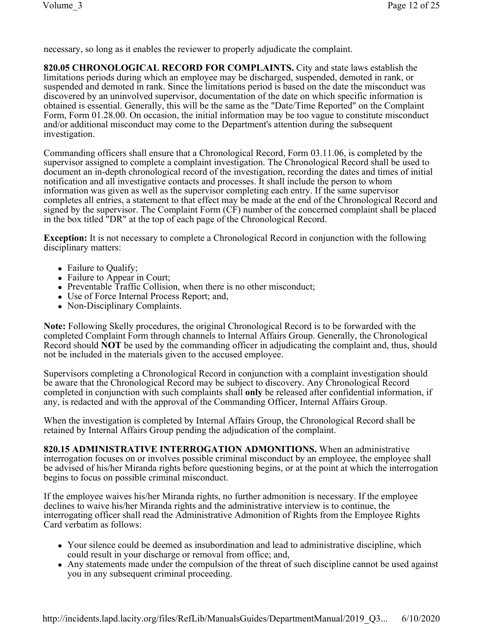necessary, so long as it enables the reviewer to properly adjudicate the complaint.

**820.05 CHRONOLOGICAL RECORD FOR COMPLAINTS.** City and state laws establish the limitations periods during which an employee may be discharged, suspended, demoted in rank, or suspended and demoted in rank. Since the limitations period is based on the date the misconduct was discovered by an uninvolved supervisor, documentation of the date on which specific information is obtained is essential. Generally, this will be the same as the "Date/Time Reported" on the Complaint Form, Form 01.28.00. On occasion, the initial information may be too vague to constitute misconduct and/or additional misconduct may come to the Department's attention during the subsequent investigation.

Commanding officers shall ensure that a Chronological Record, Form 03.11.06, is completed by the supervisor assigned to complete a complaint investigation. The Chronological Record shall be used to document an in-depth chronological record of the investigation, recording the dates and times of initial notification and all investigative contacts and processes. It shall include the person to whom information was given as well as the supervisor completing each entry. If the same supervisor completes all entries, a statement to that effect may be made at the end of the Chronological Record and signed by the supervisor. The Complaint Form (CF) number of the concerned complaint shall be placed in the box titled "DR" at the top of each page of the Chronological Record.

**Exception:** It is not necessary to complete a Chronological Record in conjunction with the following disciplinary matters:

- Failure to Qualify;
- Failure to Appear in Court;
- Preventable Traffic Collision, when there is no other misconduct;
- Use of Force Internal Process Report; and,
- Non-Disciplinary Complaints.

**Note:** Following Skelly procedures, the original Chronological Record is to be forwarded with the completed Complaint Form through channels to Internal Affairs Group. Generally, the Chronological Record should **NOT** be used by the commanding officer in adjudicating the complaint and, thus, should not be included in the materials given to the accused employee.

Supervisors completing a Chronological Record in conjunction with a complaint investigation should be aware that the Chronological Record may be subject to discovery. Any Chronological Record completed in conjunction with such complaints shall **only** be released after confidential information, if any, is redacted and with the approval of the Commanding Officer, Internal Affairs Group.

When the investigation is completed by Internal Affairs Group, the Chronological Record shall be retained by Internal Affairs Group pending the adjudication of the complaint.

**820.15 ADMINISTRATIVE INTERROGATION ADMONITIONS.** When an administrative interrogation focuses on or involves possible criminal misconduct by an employee, the employee shall be advised of his/her Miranda rights before questioning begins, or at the point at which the interrogation begins to focus on possible criminal misconduct.

If the employee waives his/her Miranda rights, no further admonition is necessary. If the employee declines to waive his/her Miranda rights and the administrative interview is to continue, the interrogating officer shall read the Administrative Admonition of Rights from the Employee Rights Card verbatim as follows:

- Your silence could be deemed as insubordination and lead to administrative discipline, which could result in your discharge or removal from office; and,
- Any statements made under the compulsion of the threat of such discipline cannot be used against you in any subsequent criminal proceeding.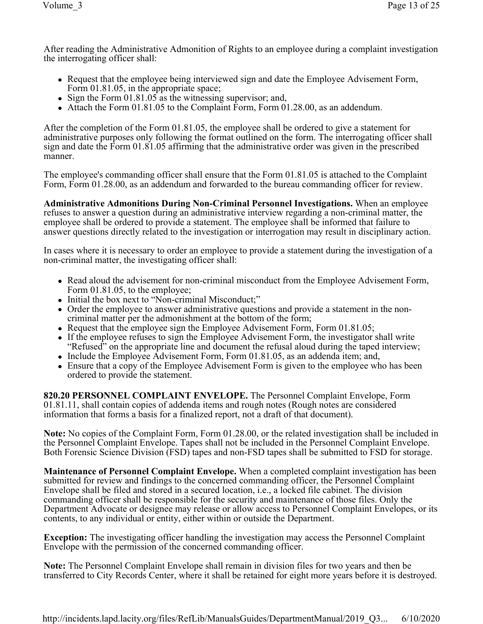After reading the Administrative Admonition of Rights to an employee during a complaint investigation the interrogating officer shall:

- Request that the employee being interviewed sign and date the Employee Advisement Form, Form  $01.81.05$ , in the appropriate space;
- Sign the Form  $01.81.05$  as the witnessing supervisor; and,
- Attach the Form  $01.81.05$  to the Complaint Form, Form  $01.28.00$ , as an addendum.

After the completion of the Form 01.81.05, the employee shall be ordered to give a statement for administrative purposes only following the format outlined on the form. The interrogating officer shall sign and date the Form 01.81.05 affirming that the administrative order was given in the prescribed manner.

The employee's commanding officer shall ensure that the Form 01.81.05 is attached to the Complaint Form, Form 01.28.00, as an addendum and forwarded to the bureau commanding officer for review.

**Administrative Admonitions During Non-Criminal Personnel Investigations.** When an employee refuses to answer a question during an administrative interview regarding a non-criminal matter, the employee shall be ordered to provide a statement. The employee shall be informed that failure to answer questions directly related to the investigation or interrogation may result in disciplinary action.

In cases where it is necessary to order an employee to provide a statement during the investigation of a non-criminal matter, the investigating officer shall:

- Read aloud the advisement for non-criminal misconduct from the Employee Advisement Form, Form 01.81.05, to the employee;
- Initial the box next to "Non-criminal Misconduct;"
- Order the employee to answer administrative questions and provide a statement in the noncriminal matter per the admonishment at the bottom of the form;
- Request that the employee sign the Employee Advisement Form, Form  $01.81.05$ ;
- If the employee refuses to sign the Employee Advisement Form, the investigator shall write "Refused" on the appropriate line and document the refusal aloud during the taped interview;
- Include the Employee Advisement Form, Form  $01.81.05$ , as an addenda item; and,
- Ensure that a copy of the Employee Advisement Form is given to the employee who has been ordered to provide the statement.

**820.20 PERSONNEL COMPLAINT ENVELOPE.** The Personnel Complaint Envelope, Form 01.81.11, shall contain copies of addenda items and rough notes (Rough notes are considered information that forms a basis for a finalized report, not a draft of that document).

**Note:** No copies of the Complaint Form, Form 01.28.00, or the related investigation shall be included in the Personnel Complaint Envelope. Tapes shall not be included in the Personnel Complaint Envelope. Both Forensic Science Division (FSD) tapes and non-FSD tapes shall be submitted to FSD for storage.

**Maintenance of Personnel Complaint Envelope.** When a completed complaint investigation has been submitted for review and findings to the concerned commanding officer, the Personnel Complaint Envelope shall be filed and stored in a secured location, i.e., a locked file cabinet. The division commanding officer shall be responsible for the security and maintenance of those files. Only the Department Advocate or designee may release or allow access to Personnel Complaint Envelopes, or its contents, to any individual or entity, either within or outside the Department.

**Exception:** The investigating officer handling the investigation may access the Personnel Complaint Envelope with the permission of the concerned commanding officer.

**Note:** The Personnel Complaint Envelope shall remain in division files for two years and then be transferred to City Records Center, where it shall be retained for eight more years before it is destroyed.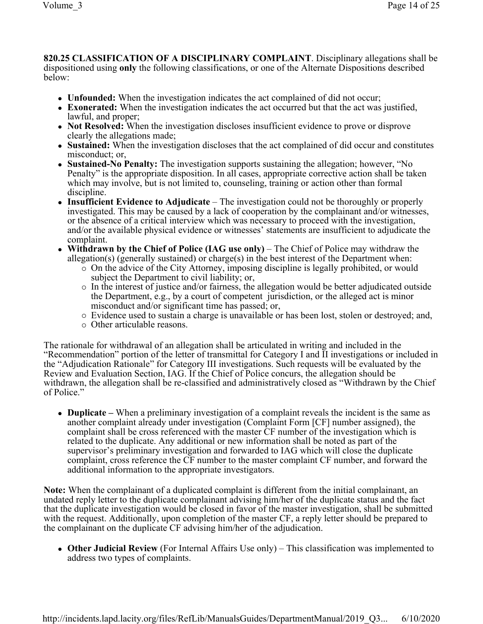**820.25 CLASSIFICATION OF A DISCIPLINARY COMPLAINT**. Disciplinary allegations shall be dispositioned using **only** the following classifications, or one of the Alternate Dispositions described below:

- **Unfounded:** When the investigation indicates the act complained of did not occur;
- **Exonerated:** When the investigation indicates the act occurred but that the act was justified, lawful, and proper;
- **Not Resolved:** When the investigation discloses insufficient evidence to prove or disprove clearly the allegations made;
- **Sustained:** When the investigation discloses that the act complained of did occur and constitutes misconduct; or,
- Sustained-No Penalty: The investigation supports sustaining the allegation; however, "No Penalty" is the appropriate disposition. In all cases, appropriate corrective action shall be taken which may involve, but is not limited to, counseling, training or action other than formal discipline.
- Insufficient Evidence to Adjudicate The investigation could not be thoroughly or properly investigated. This may be caused by a lack of cooperation by the complainant and/or witnesses, or the absence of a critical interview which was necessary to proceed with the investigation, and/or the available physical evidence or witnesses' statements are insufficient to adjudicate the complaint.
- **Withdrawn by the Chief of Police (IAG use only)** The Chief of Police may withdraw the allegation(s) (generally sustained) or charge(s) in the best interest of the Department when:
	- ¡ On the advice of the City Attorney, imposing discipline is legally prohibited, or would subject the Department to civil liability; or,
	- ¡ In the interest of justice and/or fairness, the allegation would be better adjudicated outside the Department, e.g., by a court of competent jurisdiction, or the alleged act is minor misconduct and/or significant time has passed; or,
	- ¡ Evidence used to sustain a charge is unavailable or has been lost, stolen or destroyed; and,
	- $\circ$  Other articulable reasons.

The rationale for withdrawal of an allegation shall be articulated in writing and included in the "Recommendation" portion of the letter of transmittal for Category I and II investigations or included in the "Adjudication Rationale" for Category III investigations. Such requests will be evaluated by the Review and Evaluation Section, IAG. If the Chief of Police concurs, the allegation should be withdrawn, the allegation shall be re-classified and administratively closed as "Withdrawn by the Chief of Police."

<sup>l</sup> **Duplicate –** When a preliminary investigation of a complaint reveals the incident is the same as another complaint already under investigation (Complaint Form [CF] number assigned), the complaint shall be cross referenced with the master CF number of the investigation which is related to the duplicate. Any additional or new information shall be noted as part of the supervisor's preliminary investigation and forwarded to IAG which will close the duplicate complaint, cross reference the CF number to the master complaint CF number, and forward the additional information to the appropriate investigators.

**Note:** When the complainant of a duplicated complaint is different from the initial complainant, an undated reply letter to the duplicate complainant advising him/her of the duplicate status and the fact that the duplicate investigation would be closed in favor of the master investigation, shall be submitted with the request. Additionally, upon completion of the master CF, a reply letter should be prepared to the complainant on the duplicate CF advising him/her of the adjudication.

**• Other Judicial Review** (For Internal Affairs Use only) – This classification was implemented to address two types of complaints.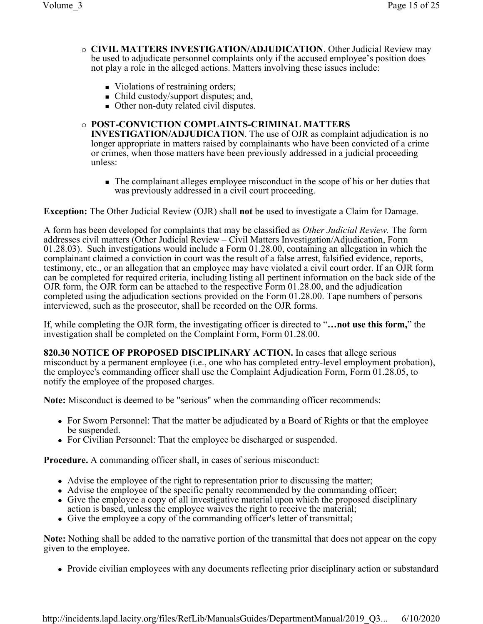- ¡ **CIVIL MATTERS INVESTIGATION/ADJUDICATION**. Other Judicial Review may be used to adjudicate personnel complaints only if the accused employee's position does not play a role in the alleged actions. Matters involving these issues include:
	- Violations of restraining orders;
	- Child custody/support disputes; and,
	- Other non-duty related civil disputes.

### ¡ **POST-CONVICTION COMPLAINTS-CRIMINAL MATTERS**

**INVESTIGATION/ADJUDICATION**. The use of OJR as complaint adjudication is no longer appropriate in matters raised by complainants who have been convicted of a crime or crimes, when those matters have been previously addressed in a judicial proceeding unless:

<sup>n</sup> The complainant alleges employee misconduct in the scope of his or her duties that was previously addressed in a civil court proceeding.

**Exception:** The Other Judicial Review (OJR) shall **not** be used to investigate a Claim for Damage.

A form has been developed for complaints that may be classified as *Other Judicial Review.* The form addresses civil matters (Other Judicial Review – Civil Matters Investigation/Adjudication, Form 01.28.03). Such investigations would include a Form 01.28.00, containing an allegation in which the complainant claimed a conviction in court was the result of a false arrest, falsified evidence, reports, testimony, etc., or an allegation that an employee may have violated a civil court order. If an OJR form can be completed for required criteria, including listing all pertinent information on the back side of the OJR form, the OJR form can be attached to the respective Form 01.28.00, and the adjudication completed using the adjudication sections provided on the Form 01.28.00. Tape numbers of persons interviewed, such as the prosecutor, shall be recorded on the OJR forms.

If, while completing the OJR form, the investigating officer is directed to "**…not use this form,**" the investigation shall be completed on the Complaint Form, Form 01.28.00.

**820.30 NOTICE OF PROPOSED DISCIPLINARY ACTION.** In cases that allege serious misconduct by a permanent employee (i.e., one who has completed entry-level employment probation), the employee's commanding officer shall use the Complaint Adjudication Form, Form 01.28.05, to notify the employee of the proposed charges.

**Note:** Misconduct is deemed to be "serious" when the commanding officer recommends:

- For Sworn Personnel: That the matter be adjudicated by a Board of Rights or that the employee be suspended.
- For Civilian Personnel: That the employee be discharged or suspended.

**Procedure.** A commanding officer shall, in cases of serious misconduct:

- Advise the employee of the right to representation prior to discussing the matter;
- Advise the employee of the specific penalty recommended by the commanding officer;
- Give the employee a copy of all investigative material upon which the proposed disciplinary action is based, unless the employee waives the right to receive the material;
- Give the employee a copy of the commanding officer's letter of transmittal;

**Note:** Nothing shall be added to the narrative portion of the transmittal that does not appear on the copy given to the employee.

• Provide civilian employees with any documents reflecting prior disciplinary action or substandard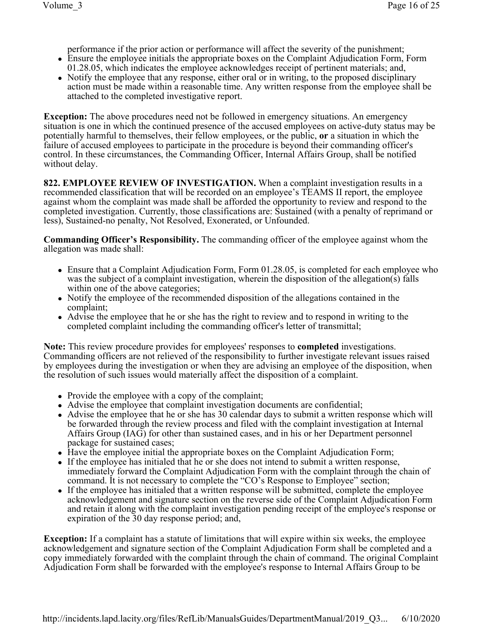performance if the prior action or performance will affect the severity of the punishment;

- Ensure the employee initials the appropriate boxes on the Complaint Adjudication Form, Form 01.28.05, which indicates the employee acknowledges receipt of pertinent materials; and,
- Notify the employee that any response, either oral or in writing, to the proposed disciplinary action must be made within a reasonable time. Any written response from the employee shall be attached to the completed investigative report.

**Exception:** The above procedures need not be followed in emergency situations. An emergency situation is one in which the continued presence of the accused employees on active-duty status may be potentially harmful to themselves, their fellow employees, or the public, **or** a situation in which the failure of accused employees to participate in the procedure is beyond their commanding officer's control. In these circumstances, the Commanding Officer, Internal Affairs Group, shall be notified without delay.

**822. EMPLOYEE REVIEW OF INVESTIGATION.** When a complaint investigation results in a recommended classification that will be recorded on an employee's TEAMS II report, the employee against whom the complaint was made shall be afforded the opportunity to review and respond to the completed investigation. Currently, those classifications are: Sustained (with a penalty of reprimand or less), Sustained-no penalty, Not Resolved, Exonerated, or Unfounded.

**Commanding Officer's Responsibility.** The commanding officer of the employee against whom the allegation was made shall:

- $\bullet$  Ensure that a Complaint Adjudication Form, Form 01.28.05, is completed for each employee who was the subject of a complaint investigation, wherein the disposition of the allegation(s) falls within one of the above categories;
- Notify the employee of the recommended disposition of the allegations contained in the complaint;
- Advise the employee that he or she has the right to review and to respond in writing to the completed complaint including the commanding officer's letter of transmittal;

**Note:** This review procedure provides for employees' responses to **completed** investigations. Commanding officers are not relieved of the responsibility to further investigate relevant issues raised by employees during the investigation or when they are advising an employee of the disposition, when the resolution of such issues would materially affect the disposition of a complaint.

- Provide the employee with a copy of the complaint;
- Advise the employee that complaint investigation documents are confidential;
- Advise the employee that he or she has 30 calendar days to submit a written response which will be forwarded through the review process and filed with the complaint investigation at Internal Affairs Group (IAG) for other than sustained cases, and in his or her Department personnel package for sustained cases;
- Have the employee initial the appropriate boxes on the Complaint Adjudication Form;
- If the employee has initialed that he or she does not intend to submit a written response, immediately forward the Complaint Adjudication Form with the complaint through the chain of command. It is not necessary to complete the "CO's Response to Employee" section;
- If the employee has initialed that a written response will be submitted, complete the employee acknowledgement and signature section on the reverse side of the Complaint Adjudication Form and retain it along with the complaint investigation pending receipt of the employee's response or expiration of the 30 day response period; and,

**Exception:** If a complaint has a statute of limitations that will expire within six weeks, the employee acknowledgement and signature section of the Complaint Adjudication Form shall be completed and a copy immediately forwarded with the complaint through the chain of command. The original Complaint Adjudication Form shall be forwarded with the employee's response to Internal Affairs Group to be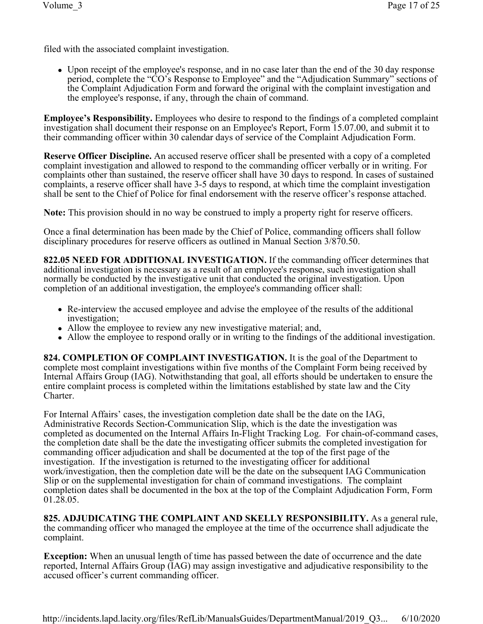filed with the associated complaint investigation.

• Upon receipt of the employee's response, and in no case later than the end of the 30 day response period, complete the "CO's Response to Employee" and the "Adjudication Summary" sections of the Complaint Adjudication Form and forward the original with the complaint investigation and the employee's response, if any, through the chain of command.

**Employee's Responsibility.** Employees who desire to respond to the findings of a completed complaint investigation shall document their response on an Employee's Report, Form 15.07.00, and submit it to their commanding officer within 30 calendar days of service of the Complaint Adjudication Form.

**Reserve Officer Discipline.** An accused reserve officer shall be presented with a copy of a completed complaint investigation and allowed to respond to the commanding officer verbally or in writing. For complaints other than sustained, the reserve officer shall have 30 days to respond. In cases of sustained complaints, a reserve officer shall have 3-5 days to respond, at which time the complaint investigation shall be sent to the Chief of Police for final endorsement with the reserve officer's response attached.

**Note:** This provision should in no way be construed to imply a property right for reserve officers.

Once a final determination has been made by the Chief of Police, commanding officers shall follow disciplinary procedures for reserve officers as outlined in Manual Section 3/870.50.

**822.05 NEED FOR ADDITIONAL INVESTIGATION.** If the commanding officer determines that additional investigation is necessary as a result of an employee's response, such investigation shall normally be conducted by the investigative unit that conducted the original investigation. Upon completion of an additional investigation, the employee's commanding officer shall:

- Re-interview the accused employee and advise the employee of the results of the additional investigation;
- Allow the employee to review any new investigative material; and,
- Allow the employee to respond orally or in writing to the findings of the additional investigation.

**824. COMPLETION OF COMPLAINT INVESTIGATION.** It is the goal of the Department to complete most complaint investigations within five months of the Complaint Form being received by Internal Affairs Group (IAG). Notwithstanding that goal, all efforts should be undertaken to ensure the entire complaint process is completed within the limitations established by state law and the City Charter.

For Internal Affairs' cases, the investigation completion date shall be the date on the IAG, Administrative Records Section-Communication Slip, which is the date the investigation was completed as documented on the Internal Affairs In-Flight Tracking Log. For chain-of-command cases, the completion date shall be the date the investigating officer submits the completed investigation for commanding officer adjudication and shall be documented at the top of the first page of the investigation. If the investigation is returned to the investigating officer for additional work/investigation, then the completion date will be the date on the subsequent IAG Communication Slip or on the supplemental investigation for chain of command investigations. The complaint completion dates shall be documented in the box at the top of the Complaint Adjudication Form, Form 01.28.05.

**825. ADJUDICATING THE COMPLAINT AND SKELLY RESPONSIBILITY.** As a general rule, the commanding officer who managed the employee at the time of the occurrence shall adjudicate the complaint.

**Exception:** When an unusual length of time has passed between the date of occurrence and the date reported, Internal Affairs Group (IAG) may assign investigative and adjudicative responsibility to the accused officer's current commanding officer.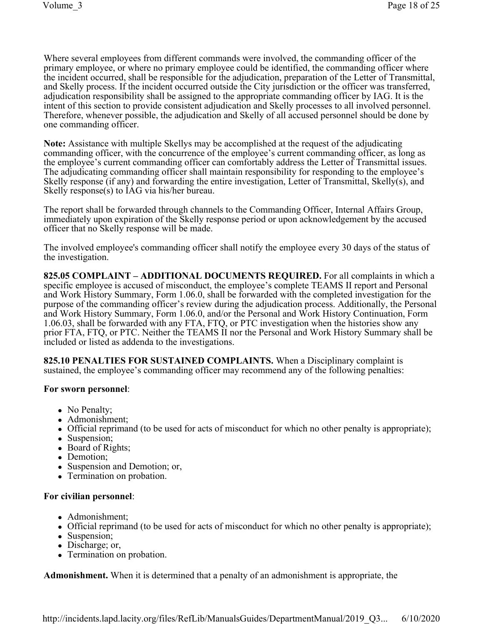Where several employees from different commands were involved, the commanding officer of the primary employee, or where no primary employee could be identified, the commanding officer where the incident occurred, shall be responsible for the adjudication, preparation of the Letter of Transmittal, and Skelly process. If the incident occurred outside the City jurisdiction or the officer was transferred, adjudication responsibility shall be assigned to the appropriate commanding officer by IAG. It is the intent of this section to provide consistent adjudication and Skelly processes to all involved personnel. Therefore, whenever possible, the adjudication and Skelly of all accused personnel should be done by one commanding officer.

**Note:** Assistance with multiple Skellys may be accomplished at the request of the adjudicating commanding officer, with the concurrence of the employee's current commanding officer, as long as the employee's current commanding officer can comfortably address the Letter of Transmittal issues. The adjudicating commanding officer shall maintain responsibility for responding to the employee's Skelly response (if any) and forwarding the entire investigation, Letter of Transmittal, Skelly(s), and Skelly response(s) to IAG via his/her bureau.

The report shall be forwarded through channels to the Commanding Officer, Internal Affairs Group, immediately upon expiration of the Skelly response period or upon acknowledgement by the accused officer that no Skelly response will be made.

The involved employee's commanding officer shall notify the employee every 30 days of the status of the investigation.

**825.05 COMPLAINT – ADDITIONAL DOCUMENTS REQUIRED.** For all complaints in which a specific employee is accused of misconduct, the employee's complete TEAMS II report and Personal and Work History Summary, Form 1.06.0, shall be forwarded with the completed investigation for the purpose of the commanding officer's review during the adjudication process. Additionally, the Personal and Work History Summary, Form 1.06.0, and/or the Personal and Work History Continuation, Form 1.06.03, shall be forwarded with any FTA, FTQ, or PTC investigation when the histories show any prior FTA, FTQ, or PTC. Neither the TEAMS II nor the Personal and Work History Summary shall be included or listed as addenda to the investigations.

**825.10 PENALTIES FOR SUSTAINED COMPLAINTS.** When a Disciplinary complaint is sustained, the employee's commanding officer may recommend any of the following penalties:

### **For sworn personnel**:

- No Penalty;
- Admonishment;
- Official reprimand (to be used for acts of misconduct for which no other penalty is appropriate);
- Suspension;
- Board of Rights;
- Demotion;
- Suspension and Demotion; or,
- Termination on probation.

#### **For civilian personnel**:

- Admonishment;
- Official reprimand (to be used for acts of misconduct for which no other penalty is appropriate);
- Suspension;
- Discharge; or,
- Termination on probation.

**Admonishment.** When it is determined that a penalty of an admonishment is appropriate, the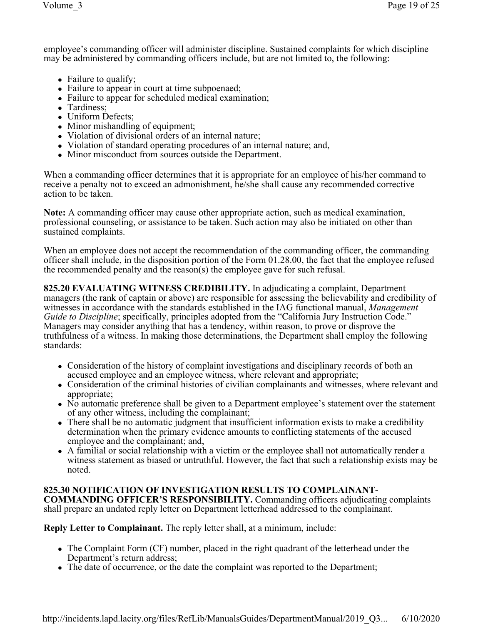employee's commanding officer will administer discipline. Sustained complaints for which discipline may be administered by commanding officers include, but are not limited to, the following:

- Failure to qualify;
- Failure to appear in court at time subpoenaed;
- Failure to appear for scheduled medical examination;
- Tardiness;
- Uniform Defects;
- Minor mishandling of equipment;
- Violation of divisional orders of an internal nature;
- Violation of standard operating procedures of an internal nature; and,
- Minor misconduct from sources outside the Department.

When a commanding officer determines that it is appropriate for an employee of his/her command to receive a penalty not to exceed an admonishment, he/she shall cause any recommended corrective action to be taken.

**Note:** A commanding officer may cause other appropriate action, such as medical examination, professional counseling, or assistance to be taken. Such action may also be initiated on other than sustained complaints.

When an employee does not accept the recommendation of the commanding officer, the commanding officer shall include, in the disposition portion of the Form 01.28.00, the fact that the employee refused the recommended penalty and the reason(s) the employee gave for such refusal.

**825.20 EVALUATING WITNESS CREDIBILITY.** In adjudicating a complaint, Department managers (the rank of captain or above) are responsible for assessing the believability and credibility of witnesses in accordance with the standards established in the IAG functional manual, *Management Guide to Discipline*; specifically, principles adopted from the "California Jury Instruction Code." Managers may consider anything that has a tendency, within reason, to prove or disprove the truthfulness of a witness. In making those determinations, the Department shall employ the following standards:

- Consideration of the history of complaint investigations and disciplinary records of both an accused employee and an employee witness, where relevant and appropriate;
- Consideration of the criminal histories of civilian complainants and witnesses, where relevant and appropriate;
- No automatic preference shall be given to a Department employee's statement over the statement of any other witness, including the complainant;
- There shall be no automatic judgment that insufficient information exists to make a credibility determination when the primary evidence amounts to conflicting statements of the accused employee and the complainant; and,
- A familial or social relationship with a victim or the employee shall not automatically render a witness statement as biased or untruthful. However, the fact that such a relationship exists may be noted.

**825.30 NOTIFICATION OF INVESTIGATION RESULTS TO COMPLAINANT-COMMANDING OFFICER'S RESPONSIBILITY.** Commanding officers adjudicating complaints shall prepare an undated reply letter on Department letterhead addressed to the complainant.

**Reply Letter to Complainant.** The reply letter shall, at a minimum, include:

- The Complaint Form (CF) number, placed in the right quadrant of the letterhead under the Department's return address;
- The date of occurrence, or the date the complaint was reported to the Department;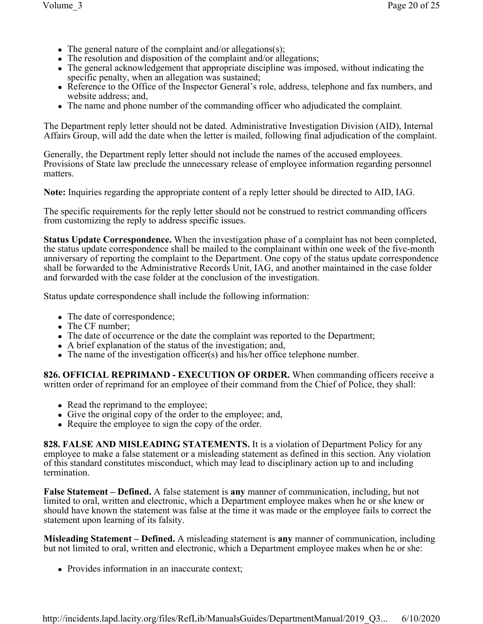- The general nature of the complaint and/or allegations(s);
- The resolution and disposition of the complaint and/or allegations;
- The general acknowledgement that appropriate discipline was imposed, without indicating the specific penalty, when an allegation was sustained;
- Reference to the Office of the Inspector General's role, address, telephone and fax numbers, and website address; and,
- <sup>l</sup> The name and phone number of the commanding officer who adjudicated the complaint.

The Department reply letter should not be dated. Administrative Investigation Division (AID), Internal Affairs Group, will add the date when the letter is mailed, following final adjudication of the complaint.

Generally, the Department reply letter should not include the names of the accused employees. Provisions of State law preclude the unnecessary release of employee information regarding personnel matters.

**Note:** Inquiries regarding the appropriate content of a reply letter should be directed to AID, IAG.

The specific requirements for the reply letter should not be construed to restrict commanding officers from customizing the reply to address specific issues.

**Status Update Correspondence.** When the investigation phase of a complaint has not been completed, the status update correspondence shall be mailed to the complainant within one week of the five-month anniversary of reporting the complaint to the Department. One copy of the status update correspondence shall be forwarded to the Administrative Records Unit, IAG, and another maintained in the case folder and forwarded with the case folder at the conclusion of the investigation.

Status update correspondence shall include the following information:

- The date of correspondence;
- $\bullet$  The CF number;
- The date of occurrence or the date the complaint was reported to the Department;
- A brief explanation of the status of the investigation; and,
- $\bullet$  The name of the investigation officer(s) and his/her office telephone number.

**826. OFFICIAL REPRIMAND - EXECUTION OF ORDER.** When commanding officers receive a written order of reprimand for an employee of their command from the Chief of Police, they shall:

- Read the reprimand to the employee;
- Give the original copy of the order to the employee; and,
- Require the employee to sign the copy of the order.

**828. FALSE AND MISLEADING STATEMENTS.** It is a violation of Department Policy for any employee to make a false statement or a misleading statement as defined in this section. Any violation of this standard constitutes misconduct, which may lead to disciplinary action up to and including termination.

**False Statement – Defined.** A false statement is **any** manner of communication, including, but not limited to oral, written and electronic, which a Department employee makes when he or she knew or should have known the statement was false at the time it was made or the employee fails to correct the statement upon learning of its falsity.

**Misleading Statement – Defined.** A misleading statement is **any** manner of communication, including but not limited to oral, written and electronic, which a Department employee makes when he or she:

• Provides information in an inaccurate context;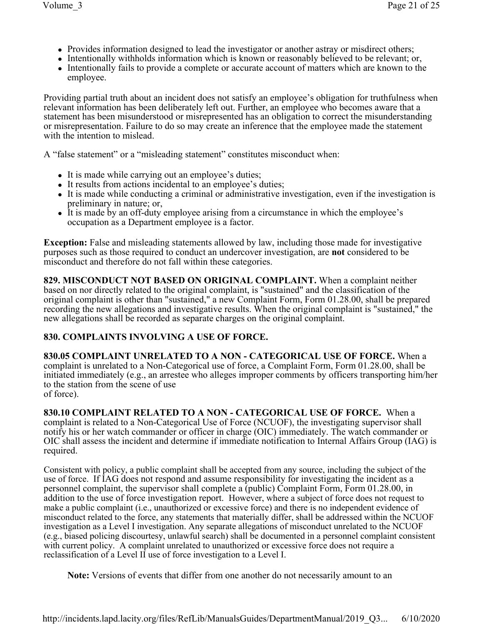- Provides information designed to lead the investigator or another astray or misdirect others;
- Intentionally withholds information which is known or reasonably believed to be relevant; or,
- Intentionally fails to provide a complete or accurate account of matters which are known to the employee.

Providing partial truth about an incident does not satisfy an employee's obligation for truthfulness when relevant information has been deliberately left out. Further, an employee who becomes aware that a statement has been misunderstood or misrepresented has an obligation to correct the misunderstanding or misrepresentation. Failure to do so may create an inference that the employee made the statement with the intention to mislead.

A "false statement" or a "misleading statement" constitutes misconduct when:

- It is made while carrying out an employee's duties;
- It results from actions incidental to an employee's duties;
- It is made while conducting a criminal or administrative investigation, even if the investigation is preliminary in nature; or,
- It is made by an off-duty employee arising from a circumstance in which the employee's occupation as a Department employee is a factor.

**Exception:** False and misleading statements allowed by law, including those made for investigative purposes such as those required to conduct an undercover investigation, are **not** considered to be misconduct and therefore do not fall within these categories.

**829. MISCONDUCT NOT BASED ON ORIGINAL COMPLAINT.** When a complaint neither based on nor directly related to the original complaint, is "sustained" and the classification of the original complaint is other than "sustained," a new Complaint Form, Form 01.28.00, shall be prepared recording the new allegations and investigative results. When the original complaint is "sustained," the new allegations shall be recorded as separate charges on the original complaint.

# **830. COMPLAINTS INVOLVING A USE OF FORCE.**

**830.05 COMPLAINT UNRELATED TO A NON - CATEGORICAL USE OF FORCE.** When a complaint is unrelated to a Non-Categorical use of force, a Complaint Form, Form 01.28.00, shall be initiated immediately (e.g., an arrestee who alleges improper comments by officers transporting him/her to the station from the scene of use of force).

**830.10 COMPLAINT RELATED TO A NON - CATEGORICAL USE OF FORCE.** When a complaint is related to a Non-Categorical Use of Force (NCUOF), the investigating supervisor shall notify his or her watch commander or officer in charge (OIC) immediately. The watch commander or OIC shall assess the incident and determine if immediate notification to Internal Affairs Group (IAG) is required.

Consistent with policy, a public complaint shall be accepted from any source, including the subject of the use of force. If IAG does not respond and assume responsibility for investigating the incident as a personnel complaint, the supervisor shall complete a (public) Complaint Form, Form 01.28.00, in addition to the use of force investigation report. However, where a subject of force does not request to make a public complaint (i.e., unauthorized or excessive force) and there is no independent evidence of misconduct related to the force, any statements that materially differ, shall be addressed within the NCUOF investigation as a Level I investigation. Any separate allegations of misconduct unrelated to the NCUOF (e.g., biased policing discourtesy, unlawful search) shall be documented in a personnel complaint consistent with current policy. A complaint unrelated to unauthorized or excessive force does not require a reclassification of a Level II use of force investigation to a Level I.

**Note:** Versions of events that differ from one another do not necessarily amount to an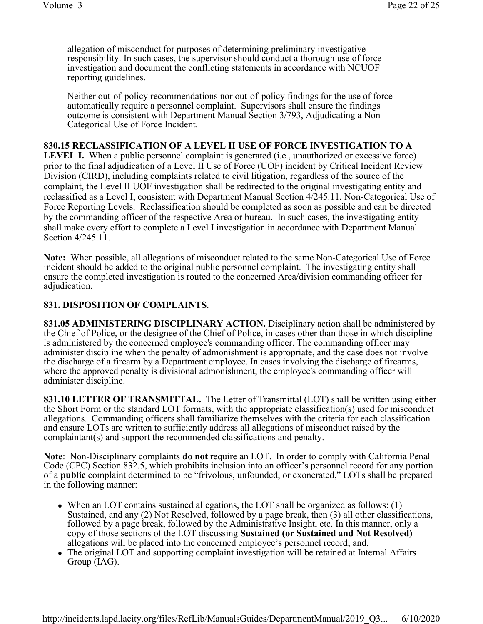allegation of misconduct for purposes of determining preliminary investigative responsibility. In such cases, the supervisor should conduct a thorough use of force investigation and document the conflicting statements in accordance with NCUOF reporting guidelines.

Neither out-of-policy recommendations nor out-of-policy findings for the use of force automatically require a personnel complaint. Supervisors shall ensure the findings outcome is consistent with Department Manual Section 3/793, Adjudicating a Non-Categorical Use of Force Incident.

#### **830.15 RECLASSIFICATION OF A LEVEL II USE OF FORCE INVESTIGATION TO A**

LEVEL I. When a public personnel complaint is generated (i.e., unauthorized or excessive force) prior to the final adjudication of a Level II Use of Force (UOF) incident by Critical Incident Review Division (CIRD), including complaints related to civil litigation, regardless of the source of the complaint, the Level II UOF investigation shall be redirected to the original investigating entity and reclassified as a Level I, consistent with Department Manual Section 4/245.11, Non-Categorical Use of Force Reporting Levels. Reclassification should be completed as soon as possible and can be directed by the commanding officer of the respective Area or bureau. In such cases, the investigating entity shall make every effort to complete a Level I investigation in accordance with Department Manual Section 4/245.11.

**Note:** When possible, all allegations of misconduct related to the same Non-Categorical Use of Force incident should be added to the original public personnel complaint. The investigating entity shall ensure the completed investigation is routed to the concerned Area/division commanding officer for adjudication.

#### **831. DISPOSITION OF COMPLAINTS**.

**831.05 ADMINISTERING DISCIPLINARY ACTION.** Disciplinary action shall be administered by the Chief of Police, or the designee of the Chief of Police, in cases other than those in which discipline is administered by the concerned employee's commanding officer. The commanding officer may administer discipline when the penalty of admonishment is appropriate, and the case does not involve the discharge of a firearm by a Department employee. In cases involving the discharge of firearms, where the approved penalty is divisional admonishment, the employee's commanding officer will administer discipline.

**831.10 LETTER OF TRANSMITTAL.** The Letter of Transmittal (LOT) shall be written using either the Short Form or the standard LOT formats, with the appropriate classification(s) used for misconduct allegations. Commanding officers shall familiarize themselves with the criteria for each classification and ensure LOTs are written to sufficiently address all allegations of misconduct raised by the complaintant(s) and support the recommended classifications and penalty.

**Note**: Non-Disciplinary complaints **do not** require an LOT. In order to comply with California Penal Code (CPC) Section 832.5, which prohibits inclusion into an officer's personnel record for any portion of a **public** complaint determined to be "frivolous, unfounded, or exonerated," LOTs shall be prepared in the following manner:

- $\bullet$  When an LOT contains sustained allegations, the LOT shall be organized as follows: (1) Sustained, and any (2) Not Resolved, followed by a page break, then (3) all other classifications, followed by a page break, followed by the Administrative Insight, etc. In this manner, only a copy of those sections of the LOT discussing **Sustained (or Sustained and Not Resolved)** allegations will be placed into the concerned employee's personnel record; and,
- The original LOT and supporting complaint investigation will be retained at Internal Affairs Group (IAG).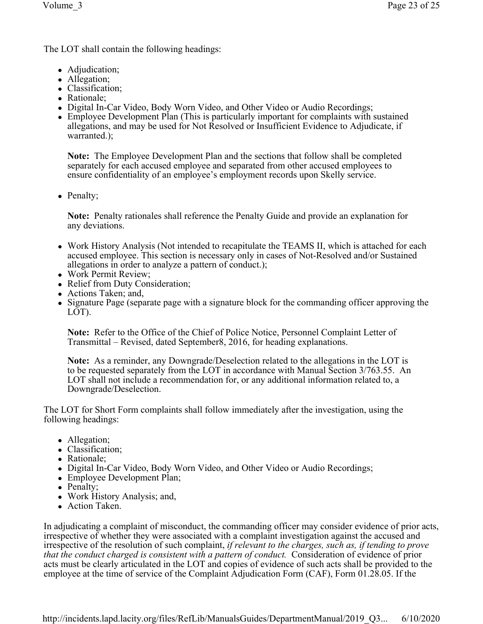The LOT shall contain the following headings:

- Adjudication;
- Allegation;
- Classification;
- Rationale;
- Digital In-Car Video, Body Worn Video, and Other Video or Audio Recordings;
- Employee Development Plan (This is particularly important for complaints with sustained allegations, and may be used for Not Resolved or Insufficient Evidence to Adjudicate, if warranted.);

**Note:** The Employee Development Plan and the sections that follow shall be completed separately for each accused employee and separated from other accused employees to ensure confidentiality of an employee's employment records upon Skelly service.

• Penalty;

**Note:** Penalty rationales shall reference the Penalty Guide and provide an explanation for any deviations.

- Work History Analysis (Not intended to recapitulate the TEAMS II, which is attached for each accused employee. This section is necessary only in cases of Not-Resolved and/or Sustained allegations in order to analyze a pattern of conduct.);
- Work Permit Review;
- Relief from Duty Consideration;
- Actions Taken; and,
- Signature Page (separate page with a signature block for the commanding officer approving the LOT).

**Note:** Refer to the Office of the Chief of Police Notice, Personnel Complaint Letter of Transmittal – Revised, dated September8, 2016, for heading explanations.

**Note:** As a reminder, any Downgrade/Deselection related to the allegations in the LOT is to be requested separately from the LOT in accordance with Manual Section 3/763.55. An LOT shall not include a recommendation for, or any additional information related to, a Downgrade/Deselection.

The LOT for Short Form complaints shall follow immediately after the investigation, using the following headings:

- Allegation;
- Classification;
- Rationale;
- Digital In-Car Video, Body Worn Video, and Other Video or Audio Recordings;
- Employee Development Plan;
- Penalty;
- Work History Analysis; and,
- Action Taken.

In adjudicating a complaint of misconduct, the commanding officer may consider evidence of prior acts, irrespective of whether they were associated with a complaint investigation against the accused and irrespective of the resolution of such complaint, *if relevant to the charges, such as, if tending to prove that the conduct charged is consistent with a pattern of conduct.* Consideration of evidence of prior acts must be clearly articulated in the LOT and copies of evidence of such acts shall be provided to the employee at the time of service of the Complaint Adjudication Form (CAF), Form 01.28.05. If the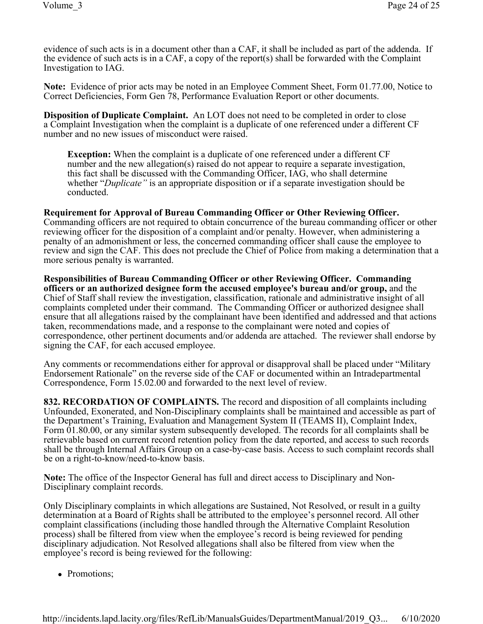evidence of such acts is in a document other than a CAF, it shall be included as part of the addenda. If the evidence of such acts is in a CAF, a copy of the report(s) shall be forwarded with the Complaint Investigation to IAG.

**Note:** Evidence of prior acts may be noted in an Employee Comment Sheet, Form 01.77.00, Notice to Correct Deficiencies, Form Gen 78, Performance Evaluation Report or other documents.

**Disposition of Duplicate Complaint.** An LOT does not need to be completed in order to close a Complaint Investigation when the complaint is a duplicate of one referenced under a different CF number and no new issues of misconduct were raised.

**Exception:** When the complaint is a duplicate of one referenced under a different CF number and the new allegation(s) raised do not appear to require a separate investigation, this fact shall be discussed with the Commanding Officer, IAG, who shall determine whether "*Duplicate"* is an appropriate disposition or if a separate investigation should be conducted.

**Requirement for Approval of Bureau Commanding Officer or Other Reviewing Officer.**  Commanding officers are not required to obtain concurrence of the bureau commanding officer or other reviewing officer for the disposition of a complaint and/or penalty. However, when administering a penalty of an admonishment or less, the concerned commanding officer shall cause the employee to review and sign the CAF. This does not preclude the Chief of Police from making a determination that a more serious penalty is warranted.

**Responsibilities of Bureau Commanding Officer or other Reviewing Officer. Commanding officers or an authorized designee form the accused employee's bureau and/or group,** and the Chief of Staff shall review the investigation, classification, rationale and administrative insight of all complaints completed under their command. The Commanding Officer or authorized designee shall ensure that all allegations raised by the complainant have been identified and addressed and that actions taken, recommendations made, and a response to the complainant were noted and copies of correspondence, other pertinent documents and/or addenda are attached. The reviewer shall endorse by signing the CAF, for each accused employee.

Any comments or recommendations either for approval or disapproval shall be placed under "Military Endorsement Rationale" on the reverse side of the CAF or documented within an Intradepartmental Correspondence, Form 15.02.00 and forwarded to the next level of review.

**832. RECORDATION OF COMPLAINTS.** The record and disposition of all complaints including Unfounded, Exonerated, and Non-Disciplinary complaints shall be maintained and accessible as part of the Department's Training, Evaluation and Management System II (TEAMS II), Complaint Index, Form 01.80.00, or any similar system subsequently developed. The records for all complaints shall be retrievable based on current record retention policy from the date reported, and access to such records shall be through Internal Affairs Group on a case-by-case basis. Access to such complaint records shall be on a right-to-know/need-to-know basis.

**Note:** The office of the Inspector General has full and direct access to Disciplinary and Non- Disciplinary complaint records.

Only Disciplinary complaints in which allegations are Sustained, Not Resolved, or result in a guilty determination at a Board of Rights shall be attributed to the employee's personnel record. All other complaint classifications (including those handled through the Alternative Complaint Resolution process) shall be filtered from view when the employee's record is being reviewed for pending disciplinary adjudication. Not Resolved allegations shall also be filtered from view when the employee's record is being reviewed for the following:

• Promotions: